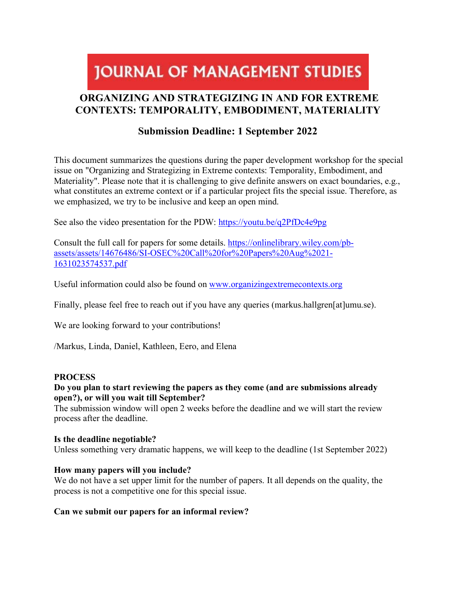# **JOURNAL OF MANAGEMENT STUDIES**

# **ORGANIZING AND STRATEGIZING IN AND FOR EXTREME CONTEXTS: TEMPORALITY, EMBODIMENT, MATERIALITY**

# **Submission Deadline: 1 September 2022**

This document summarizes the questions during the paper development workshop for the special issue on "Organizing and Strategizing in Extreme contexts: Temporality, Embodiment, and Materiality". Please note that it is challenging to give definite answers on exact boundaries, e.g., what constitutes an extreme context or if a particular project fits the special issue. Therefore, as we emphasized, we try to be inclusive and keep an open mind.

See also the video presentation for the PDW:<https://youtu.be/q2PfDc4e9pg>

Consult the full call for papers for some details. [https://onlinelibrary.wiley.com/pb](https://onlinelibrary.wiley.com/pb-assets/assets/14676486/SI-OSEC%20Call%20for%20Papers%20Aug%2021-1631023574537.pdf)[assets/assets/14676486/SI-OSEC%20Call%20for%20Papers%20Aug%2021-](https://onlinelibrary.wiley.com/pb-assets/assets/14676486/SI-OSEC%20Call%20for%20Papers%20Aug%2021-1631023574537.pdf) [1631023574537.pdf](https://onlinelibrary.wiley.com/pb-assets/assets/14676486/SI-OSEC%20Call%20for%20Papers%20Aug%2021-1631023574537.pdf)

Useful information could also be found on [www.organizingextremecontexts.org](http://www.organizingextremecontexts.org/)

Finally, please feel free to reach out if you have any queries (markus.hallgren[at]umu.se).

We are looking forward to your contributions!

/Markus, Linda, Daniel, Kathleen, Eero, and Elena

#### **PROCESS**

# **Do you plan to start reviewing the papers as they come (and are submissions already open?), or will you wait till September?**

The submission window will open 2 weeks before the deadline and we will start the review process after the deadline.

#### **Is the deadline negotiable?**

Unless something very dramatic happens, we will keep to the deadline (1st September 2022)

# **How many papers will you include?**

We do not have a set upper limit for the number of papers. It all depends on the quality, the process is not a competitive one for this special issue.

# **Can we submit our papers for an informal review?**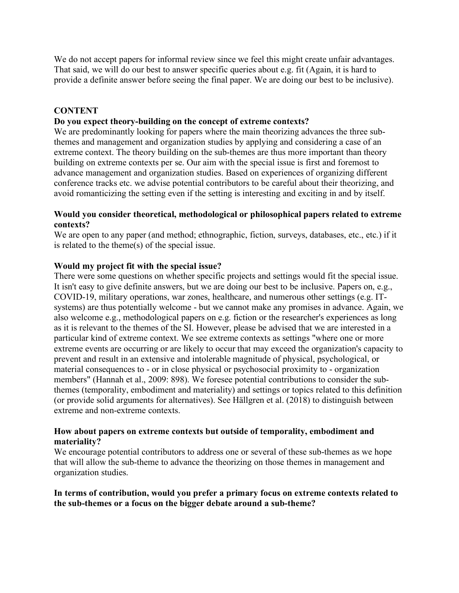We do not accept papers for informal review since we feel this might create unfair advantages. That said, we will do our best to answer specific queries about e.g. fit (Again, it is hard to provide a definite answer before seeing the final paper. We are doing our best to be inclusive).

# **CONTENT**

## **Do you expect theory-building on the concept of extreme contexts?**

We are predominantly looking for papers where the main theorizing advances the three subthemes and management and organization studies by applying and considering a case of an extreme context. The theory building on the sub-themes are thus more important than theory building on extreme contexts per se. Our aim with the special issue is first and foremost to advance management and organization studies. Based on experiences of organizing different conference tracks etc. we advise potential contributors to be careful about their theorizing, and avoid romanticizing the setting even if the setting is interesting and exciting in and by itself.

#### **Would you consider theoretical, methodological or philosophical papers related to extreme contexts?**

We are open to any paper (and method; ethnographic, fiction, surveys, databases, etc., etc.) if it is related to the theme(s) of the special issue.

### **Would my project fit with the special issue?**

There were some questions on whether specific projects and settings would fit the special issue. It isn't easy to give definite answers, but we are doing our best to be inclusive. Papers on, e.g., COVID-19, military operations, war zones, healthcare, and numerous other settings (e.g. ITsystems) are thus potentially welcome - but we cannot make any promises in advance. Again, we also welcome e.g., methodological papers on e.g. fiction or the researcher's experiences as long as it is relevant to the themes of the SI. However, please be advised that we are interested in a particular kind of extreme context. We see extreme contexts as settings "where one or more extreme events are occurring or are likely to occur that may exceed the organization's capacity to prevent and result in an extensive and intolerable magnitude of physical, psychological, or material consequences to - or in close physical or psychosocial proximity to - organization members" (Hannah et al., 2009: 898). We foresee potential contributions to consider the subthemes (temporality, embodiment and materiality) and settings or topics related to this definition (or provide solid arguments for alternatives). See Hällgren et al. (2018) to distinguish between extreme and non-extreme contexts.

#### **How about papers on extreme contexts but outside of temporality, embodiment and materiality?**

We encourage potential contributors to address one or several of these sub-themes as we hope that will allow the sub-theme to advance the theorizing on those themes in management and organization studies.

#### **In terms of contribution, would you prefer a primary focus on extreme contexts related to the sub-themes or a focus on the bigger debate around a sub-theme?**